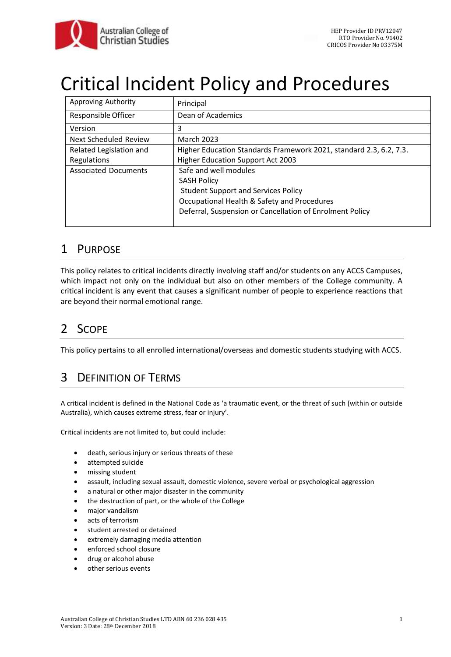

# Critical Incident Policy and Procedures

| Approving Authority          | Principal                                                          |
|------------------------------|--------------------------------------------------------------------|
| Responsible Officer          | Dean of Academics                                                  |
| Version                      | 3                                                                  |
| <b>Next Scheduled Review</b> | <b>March 2023</b>                                                  |
| Related Legislation and      | Higher Education Standards Framework 2021, standard 2.3, 6.2, 7.3. |
| Regulations                  | <b>Higher Education Support Act 2003</b>                           |
| <b>Associated Documents</b>  | Safe and well modules                                              |
|                              | <b>SASH Policy</b>                                                 |
|                              | <b>Student Support and Services Policy</b>                         |
|                              | Occupational Health & Safety and Procedures                        |
|                              | Deferral, Suspension or Cancellation of Enrolment Policy           |
|                              |                                                                    |

### 1 PURPOSE

This policy relates to critical incidents directly involving staff and/or students on any ACCS Campuses, which impact not only on the individual but also on other members of the College community. A critical incident is any event that causes a significant number of people to experience reactions that are beyond their normal emotional range.

# 2 SCOPE

This policy pertains to all enrolled international/overseas and domestic students studying with ACCS.

# 3 DEFINITION OF TERMS

A critical incident is defined in the National Code as 'a traumatic event, or the threat of such (within or outside Australia), which causes extreme stress, fear or injury'.

Critical incidents are not limited to, but could include:

- death, serious injury or serious threats of these
- attempted suicide
- missing student
- assault, including sexual assault, domestic violence, severe verbal or psychological aggression
- a natural or other major disaster in the community
- the destruction of part, or the whole of the College
- major vandalism
- acts of terrorism
- student arrested or detained
- extremely damaging media attention
- enforced school closure
- drug or alcohol abuse
- other serious events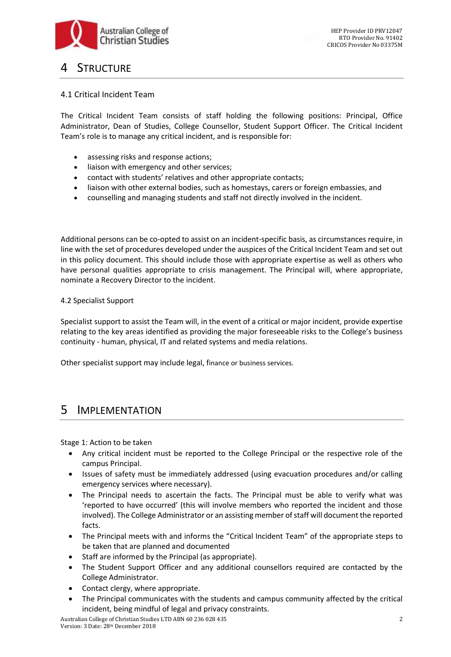

### **STRUCTURE**

### 4.1 Critical Incident Team

The Critical Incident Team consists of staff holding the following positions: Principal, Office Administrator, Dean of Studies, College Counsellor, Student Support Officer. The Critical Incident Team's role is to manage any critical incident, and is responsible for:

- assessing risks and response actions;
- liaison with emergency and other services;
- contact with students' relatives and other appropriate contacts;
- liaison with other external bodies, such as homestays, carers or foreign embassies, and
- counselling and managing students and staff not directly involved in the incident.

Additional persons can be co-opted to assist on an incident-specific basis, as circumstances require, in line with the set of procedures developed under the auspices of the Critical Incident Team and set out in this policy document. This should include those with appropriate expertise as well as others who have personal qualities appropriate to crisis management. The Principal will, where appropriate, nominate a Recovery Director to the incident.

#### 4.2 Specialist Support

Specialist support to assist the Team will, in the event of a critical or major incident, provide expertise relating to the key areas identified as providing the major foreseeable risks to the College's business continuity - human, physical, IT and related systems and media relations.

Other specialist support may include legal, finance or business services.

### 5 IMPLEMENTATION

Stage 1: Action to be taken

- Any critical incident must be reported to the College Principal or the respective role of the campus Principal.
- Issues of safety must be immediately addressed (using evacuation procedures and/or calling emergency services where necessary).
- The Principal needs to ascertain the facts. The Principal must be able to verify what was 'reported to have occurred' (this will involve members who reported the incident and those involved). The College Administrator or an assisting member of staff will document the reported facts.
- The Principal meets with and informs the "Critical Incident Team" of the appropriate steps to be taken that are planned and documented
- Staff are informed by the Principal (as appropriate).
- The Student Support Officer and any additional counsellors required are contacted by the College Administrator.
- Contact clergy, where appropriate.
- The Principal communicates with the students and campus community affected by the critical incident, being mindful of legal and privacy constraints.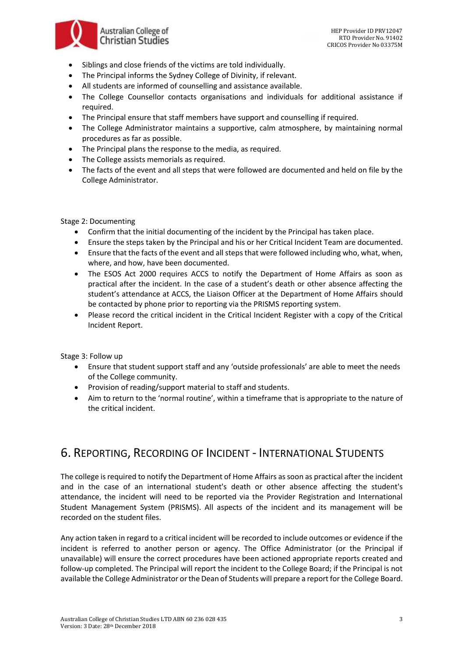

- Siblings and close friends of the victims are told individually.
- The Principal informs the Sydney College of Divinity, if relevant.
- All students are informed of counselling and assistance available.
- The College Counsellor contacts organisations and individuals for additional assistance if required.
- The Principal ensure that staff members have support and counselling if required.
- The College Administrator maintains a supportive, calm atmosphere, by maintaining normal procedures as far as possible.
- The Principal plans the response to the media, as required.
- The College assists memorials as required.
- The facts of the event and all steps that were followed are documented and held on file by the College Administrator.

#### Stage 2: Documenting

- Confirm that the initial documenting of the incident by the Principal has taken place.
- Ensure the steps taken by the Principal and his or her Critical Incident Team are documented.
- Ensure that the facts of the event and all steps that were followed including who, what, when, where, and how, have been documented.
- The ESOS Act 2000 requires ACCS to notify the Department of Home Affairs as soon as practical after the incident. In the case of a student's death or other absence affecting the student's attendance at ACCS, the Liaison Officer at the Department of Home Affairs should be contacted by phone prior to reporting via the PRISMS reporting system.
- Please record the critical incident in the Critical Incident Register with a copy of the Critical Incident Report.

Stage 3: Follow up

- Ensure that student support staff and any 'outside professionals' are able to meet the needs of the College community.
- Provision of reading/support material to staff and students.
- Aim to return to the 'normal routine', within a timeframe that is appropriate to the nature of the critical incident.

### 6. REPORTING, RECORDING OF INCIDENT - INTERNATIONAL STUDENTS

The college is required to notify the Department of Home Affairs as soon as practical after the incident and in the case of an international student's death or other absence affecting the student's attendance, the incident will need to be reported via the Provider Registration and International Student Management System (PRISMS). All aspects of the incident and its management will be recorded on the student files.

Any action taken in regard to a critical incident will be recorded to include outcomes or evidence if the incident is referred to another person or agency. The Office Administrator (or the Principal if unavailable) will ensure the correct procedures have been actioned appropriate reports created and follow-up completed. The Principal will report the incident to the College Board; if the Principal is not available the College Administrator or the Dean of Students will prepare a report for the College Board.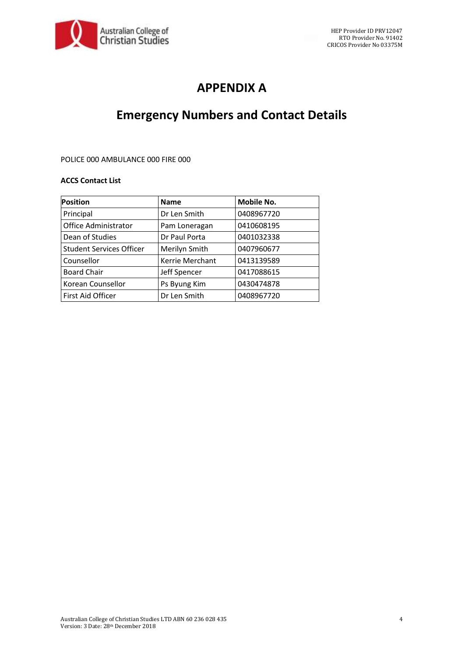

# **APPENDIX A**

# **Emergency Numbers and Contact Details**

#### POLICE 000 AMBULANCE 000 FIRE 000

#### **ACCS Contact List**

| <b>Position</b>                 | <b>Name</b>     | Mobile No. |
|---------------------------------|-----------------|------------|
| Principal                       | Dr Len Smith    | 0408967720 |
| Office Administrator            | Pam Loneragan   | 0410608195 |
| Dean of Studies                 | Dr Paul Porta   | 0401032338 |
| <b>Student Services Officer</b> | Merilyn Smith   | 0407960677 |
| Counsellor                      | Kerrie Merchant | 0413139589 |
| <b>Board Chair</b>              | Jeff Spencer    | 0417088615 |
| Korean Counsellor               | Ps Byung Kim    | 0430474878 |
| First Aid Officer               | Dr Len Smith    | 0408967720 |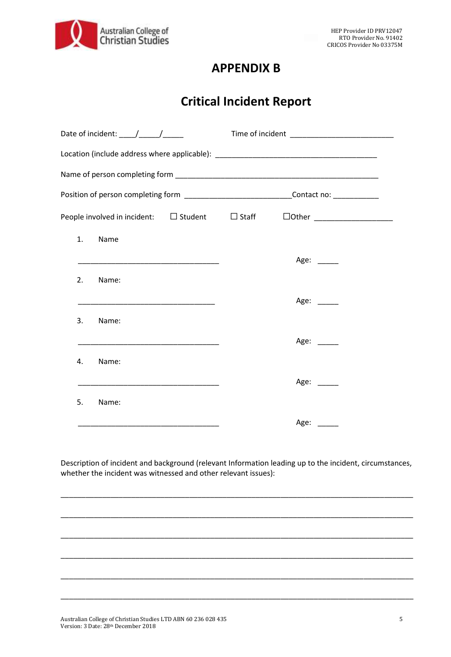

### **APPENDIX B**

# **Critical Incident Report**

| Date of incident: $\frac{1}{\sqrt{1-\frac{1}{2}}}\frac{1}{\sqrt{1-\frac{1}{2}}}\frac{1}{\sqrt{1-\frac{1}{2}}}\frac{1}{\sqrt{1-\frac{1}{2}}}\frac{1}{\sqrt{1-\frac{1}{2}}}\frac{1}{\sqrt{1-\frac{1}{2}}}\frac{1}{\sqrt{1-\frac{1}{2}}}\frac{1}{\sqrt{1-\frac{1}{2}}}\frac{1}{\sqrt{1-\frac{1}{2}}}\frac{1}{\sqrt{1-\frac{1}{2}}}\frac{1}{\sqrt{1-\frac{1}{2}}}\frac{1}{\sqrt{1-\frac{1}{2}}}\frac{1}{\sqrt{1-\$ |                                                                                                                |  |  |  |  |
|----------------------------------------------------------------------------------------------------------------------------------------------------------------------------------------------------------------------------------------------------------------------------------------------------------------------------------------------------------------------------------------------------------------|----------------------------------------------------------------------------------------------------------------|--|--|--|--|
| Location (include address where applicable): ___________________________________                                                                                                                                                                                                                                                                                                                               |                                                                                                                |  |  |  |  |
|                                                                                                                                                                                                                                                                                                                                                                                                                |                                                                                                                |  |  |  |  |
|                                                                                                                                                                                                                                                                                                                                                                                                                | Position of person completing form _____________________________Contact no: ___________                        |  |  |  |  |
| People involved in incident: $\square$ Student $\square$ Staff                                                                                                                                                                                                                                                                                                                                                 | $\Box$ Other ______________________                                                                            |  |  |  |  |
| 1.<br>Name                                                                                                                                                                                                                                                                                                                                                                                                     |                                                                                                                |  |  |  |  |
| <u> 1989 - Johann John Stone, markin amerikan basal dan berkembang dan berkembang dan berkembang dan berkembang da</u>                                                                                                                                                                                                                                                                                         | Age: ____                                                                                                      |  |  |  |  |
| 2.<br>Name:                                                                                                                                                                                                                                                                                                                                                                                                    |                                                                                                                |  |  |  |  |
|                                                                                                                                                                                                                                                                                                                                                                                                                | Age: $\frac{1}{2}$                                                                                             |  |  |  |  |
| 3.<br>Name:                                                                                                                                                                                                                                                                                                                                                                                                    |                                                                                                                |  |  |  |  |
|                                                                                                                                                                                                                                                                                                                                                                                                                | Age:                                                                                                           |  |  |  |  |
| Name:<br>4.                                                                                                                                                                                                                                                                                                                                                                                                    |                                                                                                                |  |  |  |  |
|                                                                                                                                                                                                                                                                                                                                                                                                                | Age: ____                                                                                                      |  |  |  |  |
| Name:<br>5.                                                                                                                                                                                                                                                                                                                                                                                                    |                                                                                                                |  |  |  |  |
|                                                                                                                                                                                                                                                                                                                                                                                                                | Age: and the set of the set of the set of the set of the set of the set of the set of the set of the set of th |  |  |  |  |

Description of incident and background (relevant Information leading up to the incident, circumstances, whether the incident was witnessed and other relevant issues):

\_\_\_\_\_\_\_\_\_\_\_\_\_\_\_\_\_\_\_\_\_\_\_\_\_\_\_\_\_\_\_\_\_\_\_\_\_\_\_\_\_\_\_\_\_\_\_\_\_\_\_\_\_\_\_\_\_\_\_\_\_\_\_\_\_\_\_\_\_\_\_\_\_\_\_\_\_\_\_\_\_\_\_\_\_

\_\_\_\_\_\_\_\_\_\_\_\_\_\_\_\_\_\_\_\_\_\_\_\_\_\_\_\_\_\_\_\_\_\_\_\_\_\_\_\_\_\_\_\_\_\_\_\_\_\_\_\_\_\_\_\_\_\_\_\_\_\_\_\_\_\_\_\_\_\_\_\_\_\_\_\_\_\_\_\_\_\_\_\_\_

\_\_\_\_\_\_\_\_\_\_\_\_\_\_\_\_\_\_\_\_\_\_\_\_\_\_\_\_\_\_\_\_\_\_\_\_\_\_\_\_\_\_\_\_\_\_\_\_\_\_\_\_\_\_\_\_\_\_\_\_\_\_\_\_\_\_\_\_\_\_\_\_\_\_\_\_\_\_\_\_\_\_\_\_\_

\_\_\_\_\_\_\_\_\_\_\_\_\_\_\_\_\_\_\_\_\_\_\_\_\_\_\_\_\_\_\_\_\_\_\_\_\_\_\_\_\_\_\_\_\_\_\_\_\_\_\_\_\_\_\_\_\_\_\_\_\_\_\_\_\_\_\_\_\_\_\_\_\_\_\_\_\_\_\_\_\_\_\_\_\_

\_\_\_\_\_\_\_\_\_\_\_\_\_\_\_\_\_\_\_\_\_\_\_\_\_\_\_\_\_\_\_\_\_\_\_\_\_\_\_\_\_\_\_\_\_\_\_\_\_\_\_\_\_\_\_\_\_\_\_\_\_\_\_\_\_\_\_\_\_\_\_\_\_\_\_\_\_\_\_\_\_\_\_\_\_

\_\_\_\_\_\_\_\_\_\_\_\_\_\_\_\_\_\_\_\_\_\_\_\_\_\_\_\_\_\_\_\_\_\_\_\_\_\_\_\_\_\_\_\_\_\_\_\_\_\_\_\_\_\_\_\_\_\_\_\_\_\_\_\_\_\_\_\_\_\_\_\_\_\_\_\_\_\_\_\_\_\_\_\_\_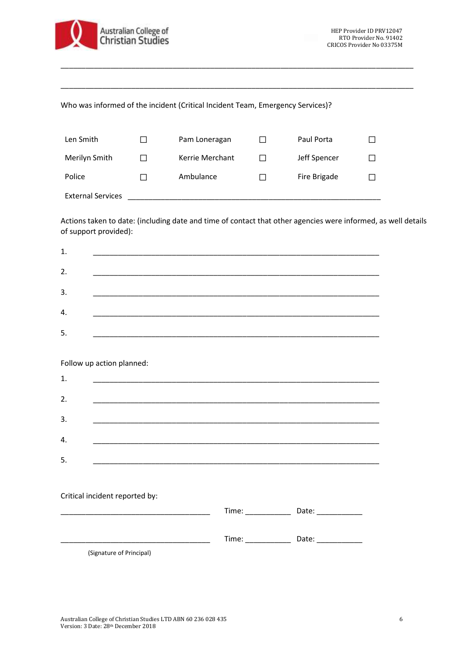

### Who was informed of the incident (Critical Incident Team, Emergency Services)?

| Len Smith                | $\mathbf{I}$ | Pam Loneragan   | L            | Paul Porta   |  |
|--------------------------|--------------|-----------------|--------------|--------------|--|
| Merilyn Smith            |              | Kerrie Merchant |              | Jeff Spencer |  |
| Police                   |              | Ambulance       | $\mathbf{I}$ | Fire Brigade |  |
| <b>External Services</b> |              |                 |              |              |  |

\_\_\_\_\_\_\_\_\_\_\_\_\_\_\_\_\_\_\_\_\_\_\_\_\_\_\_\_\_\_\_\_\_\_\_\_\_\_\_\_\_\_\_\_\_\_\_\_\_\_\_\_\_\_\_\_\_\_\_\_\_\_\_\_\_\_\_\_\_\_\_\_\_\_\_\_\_\_\_\_\_\_\_\_\_

\_\_\_\_\_\_\_\_\_\_\_\_\_\_\_\_\_\_\_\_\_\_\_\_\_\_\_\_\_\_\_\_\_\_\_\_\_\_\_\_\_\_\_\_\_\_\_\_\_\_\_\_\_\_\_\_\_\_\_\_\_\_\_\_\_\_\_\_\_\_\_\_\_\_\_\_\_\_\_\_\_\_\_\_\_

Actions taken to date: (including date and time of contact that other agencies were informed, as well details of support provided):

| 1. |                                                                                                                       |       |            |
|----|-----------------------------------------------------------------------------------------------------------------------|-------|------------|
| 2. |                                                                                                                       |       |            |
| 3. |                                                                                                                       |       |            |
|    |                                                                                                                       |       |            |
| 4. | <u> 1989 - John Stone, Amerikaansk politiker (* 1908)</u>                                                             |       |            |
| 5. | <u> 1989 - Johann Stoff, amerikansk politiker (d. 1989)</u>                                                           |       |            |
|    |                                                                                                                       |       |            |
|    | Follow up action planned:                                                                                             |       |            |
| 1. | <u> 1989 - Johann Stein, mars and de Britannich (b. 1989)</u>                                                         |       |            |
| 2. |                                                                                                                       |       |            |
|    |                                                                                                                       |       |            |
| 3. | <u> 1989 - Johann Stoff, deutscher Stoff, der Stoff, der Stoff, der Stoff, der Stoff, der Stoff, der Stoff, der S</u> |       |            |
| 4. | <u> 1989 - Johann Stoff, amerikansk politiker (d. 1989)</u>                                                           |       |            |
| 5. |                                                                                                                       |       |            |
|    |                                                                                                                       |       |            |
|    |                                                                                                                       |       |            |
|    | Critical incident reported by:                                                                                        |       |            |
|    |                                                                                                                       |       |            |
|    |                                                                                                                       | Time: | Date: 1988 |
|    | (Signature of Principal)                                                                                              |       |            |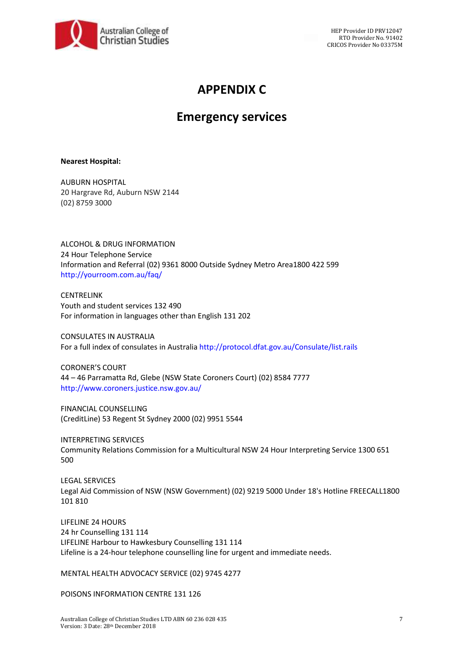

# **APPENDIX C**

## **Emergency services**

#### **Nearest Hospital:**

AUBURN HOSPITAL 20 Hargrave Rd, Auburn NSW 2144 (02) 8759 3000

ALCOHOL & DRUG INFORMATION 24 Hour Telephone Service Information and Referral (02) 9361 8000 Outside Sydney Metro Area1800 422 599 http://yourroom.com.au/faq/

CENTRELINK Youth and student services 132 490 For information in languages other than English 131 202

CONSULATES IN AUSTRALIA For a full index of consulates in Australia http://protocol.dfat.gov.au/Consulate/list.rails

CORONER'S COURT 44 – 46 Parramatta Rd, Glebe (NSW State Coroners Court) (02) 8584 7777 http://www.coroners.justice.nsw.gov.au/

FINANCIAL COUNSELLING (CreditLine) 53 Regent St Sydney 2000 (02) 9951 5544

INTERPRETING SERVICES Community Relations Commission for a Multicultural NSW 24 Hour Interpreting Service 1300 651 500

LEGAL SERVICES Legal Aid Commission of NSW (NSW Government) (02) 9219 5000 Under 18's Hotline FREECALL1800 101 810

LIFELINE 24 HOURS 24 hr Counselling 131 114 LIFELINE Harbour to Hawkesbury Counselling 131 114 Lifeline is a 24-hour telephone counselling line for urgent and immediate needs.

MENTAL HEALTH ADVOCACY SERVICE (02) 9745 4277

POISONS INFORMATION CENTRE 131 126